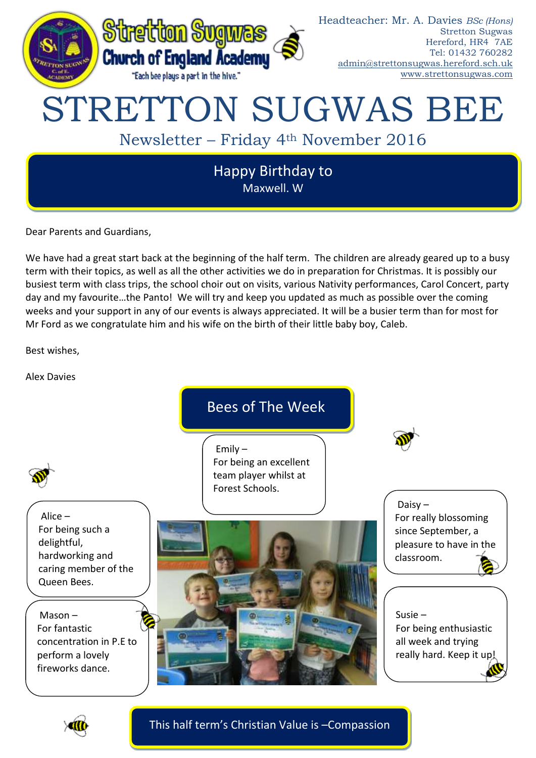

Dear Parents and Guardians,

We have had a great start back at the beginning of the half term. The children are already geared up to a busy term with their topics, as well as all the other activities we do in preparation for Christmas. It is possibly our busiest term with class trips, the school choir out on visits, various Nativity performances, Carol Concert, party day and my favourite…the Panto! We will try and keep you updated as much as possible over the coming weeks and your support in any of our events is always appreciated. It will be a busier term than for most for Mr Ford as we congratulate him and his wife on the birth of their little baby boy, Caleb.

Best wishes,

Alex Davies

Bees of The Week

Emily – For being an excellent team player whilst at Forest Schools.



Alice – For being such a delightful, hardworking and caring member of the Queen Bees.

Mason – For fantastic concentration in P.E to perform a lovely fireworks dance.



Daisy – For really blossoming since September, a pleasure to have in the classroom.

Susie – For being enthusiastic all week and trying really hard. Keep it up



This half term's Christian Value is –Compassion